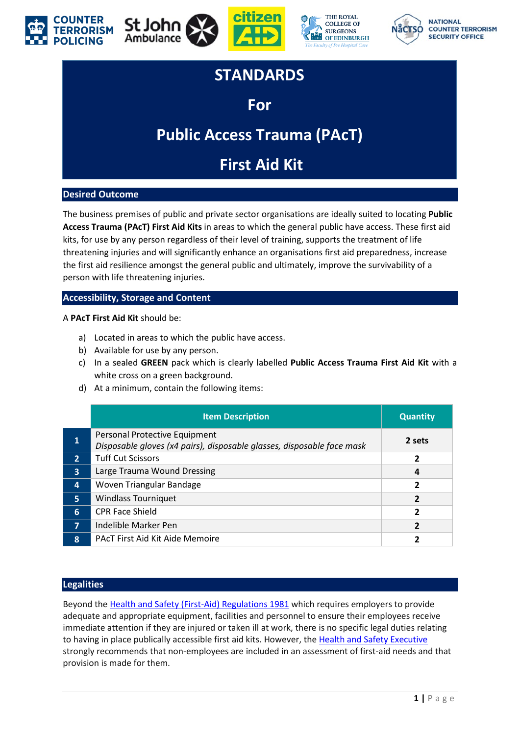







### **STANDARDS**

### **For**

# **Public Access Trauma (PAcT)**

## **First Aid Kit**

#### **Desired Outcome**

The business premises of public and private sector organisations are ideally suited to locating **Public Access Trauma (PAcT) First Aid Kits** in areas to which the general public have access. These first aid kits, for use by any person regardless of their level of training, supports the treatment of life threatening injuries and will significantly enhance an organisations first aid preparedness, increase the first aid resilience amongst the general public and ultimately, improve the survivability of a person with life threatening injuries.

#### **Accessibility, Storage and Content**

#### A **PAcT First Aid Kit** should be:

- a) Located in areas to which the public have access.
- b) Available for use by any person.
- c) In a sealed **GREEN** pack which is clearly labelled **Public Access Trauma First Aid Kit** with a white cross on a green background.
- d) At a minimum, contain the following items:

|                 | <b>Item Description</b>                                                                                 | <b>Quantity</b> |
|-----------------|---------------------------------------------------------------------------------------------------------|-----------------|
| 1               | Personal Protective Equipment<br>Disposable gloves (x4 pairs), disposable glasses, disposable face mask | 2 sets          |
| $\overline{2}$  | <b>Tuff Cut Scissors</b>                                                                                | 2               |
| $\overline{3}$  | Large Trauma Wound Dressing                                                                             | 4               |
| $\overline{4}$  | Woven Triangular Bandage                                                                                | 2               |
| 5 <sup>1</sup>  | <b>Windlass Tourniquet</b>                                                                              |                 |
| $6 \frac{1}{2}$ | <b>CPR Face Shield</b>                                                                                  | 2               |
| $\overline{7}$  | Indelible Marker Pen                                                                                    |                 |
| 8               | <b>PACT First Aid Kit Aide Memoire</b>                                                                  |                 |

#### **Legalities**

Beyond th[e Health and Safety \(First-Aid\) Regulations 1981](https://www.legislation.gov.uk/uksi/1981/917/regulation/3/made) which requires employers to provide adequate and appropriate equipment, facilities and personnel to ensure their employees receive immediate attention if they are injured or taken ill at work, there is no specific legal duties relating to having in place publically accessible first aid kits. However, the [Health and Safety Executive](https://www.hse.gov.uk/) strongly recommends that non-employees are included in an assessment of first-aid needs and that provision is made for them.